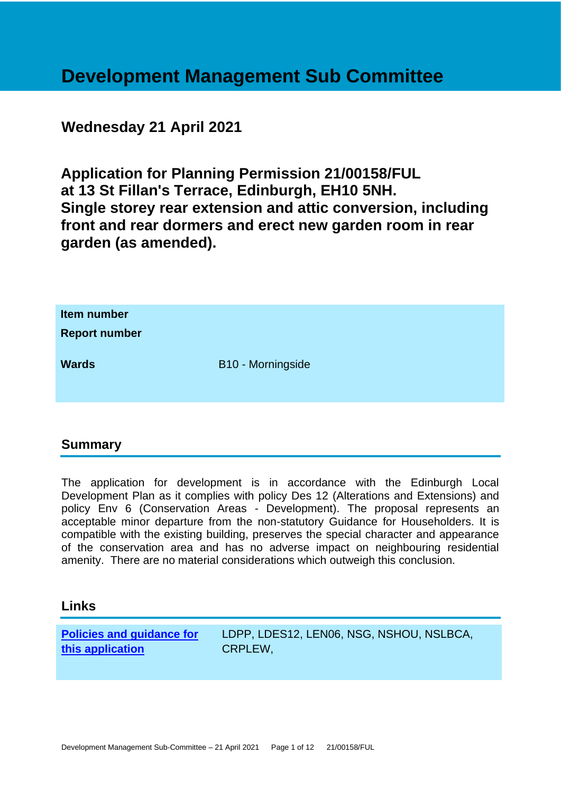# **Development Management Sub Committee**

# **Wednesday 21 April 2021**

**Application for Planning Permission 21/00158/FUL at 13 St Fillan's Terrace, Edinburgh, EH10 5NH. Single storey rear extension and attic conversion, including front and rear dormers and erect new garden room in rear garden (as amended).**

| Item number<br><b>Report number</b> |                   |
|-------------------------------------|-------------------|
| <b>Wards</b>                        | B10 - Morningside |

# **Summary**

The application for development is in accordance with the Edinburgh Local Development Plan as it complies with policy Des 12 (Alterations and Extensions) and policy Env 6 (Conservation Areas - Development). The proposal represents an acceptable minor departure from the non-statutory Guidance for Householders. It is compatible with the existing building, preserves the special character and appearance of the conservation area and has no adverse impact on neighbouring residential amenity. There are no material considerations which outweigh this conclusion.

#### **Links**

**[Policies and guidance for](file:///C:/uniform/temp/uf04148.rtf%23Policies)  [this application](file:///C:/uniform/temp/uf04148.rtf%23Policies)**

LDPP, LDES12, LEN06, NSG, NSHOU, NSLBCA, CRPLEW,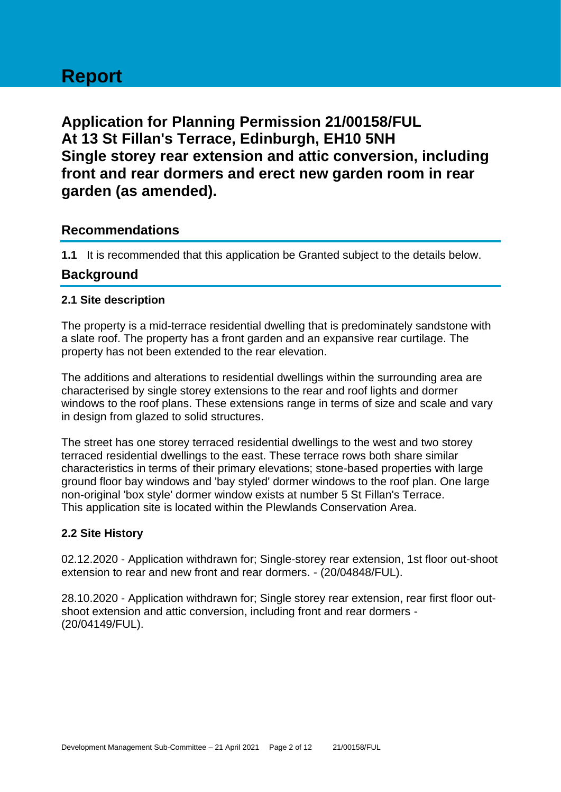# **Report**

**Application for Planning Permission 21/00158/FUL At 13 St Fillan's Terrace, Edinburgh, EH10 5NH Single storey rear extension and attic conversion, including front and rear dormers and erect new garden room in rear garden (as amended).**

# **Recommendations**

**1.1** It is recommended that this application be Granted subject to the details below.

# **Background**

#### **2.1 Site description**

The property is a mid-terrace residential dwelling that is predominately sandstone with a slate roof. The property has a front garden and an expansive rear curtilage. The property has not been extended to the rear elevation.

The additions and alterations to residential dwellings within the surrounding area are characterised by single storey extensions to the rear and roof lights and dormer windows to the roof plans. These extensions range in terms of size and scale and vary in design from glazed to solid structures.

The street has one storey terraced residential dwellings to the west and two storey terraced residential dwellings to the east. These terrace rows both share similar characteristics in terms of their primary elevations; stone-based properties with large ground floor bay windows and 'bay styled' dormer windows to the roof plan. One large non-original 'box style' dormer window exists at number 5 St Fillan's Terrace. This application site is located within the Plewlands Conservation Area.

#### **2.2 Site History**

02.12.2020 - Application withdrawn for; Single-storey rear extension, 1st floor out-shoot extension to rear and new front and rear dormers. - (20/04848/FUL).

28.10.2020 - Application withdrawn for; Single storey rear extension, rear first floor outshoot extension and attic conversion, including front and rear dormers - (20/04149/FUL).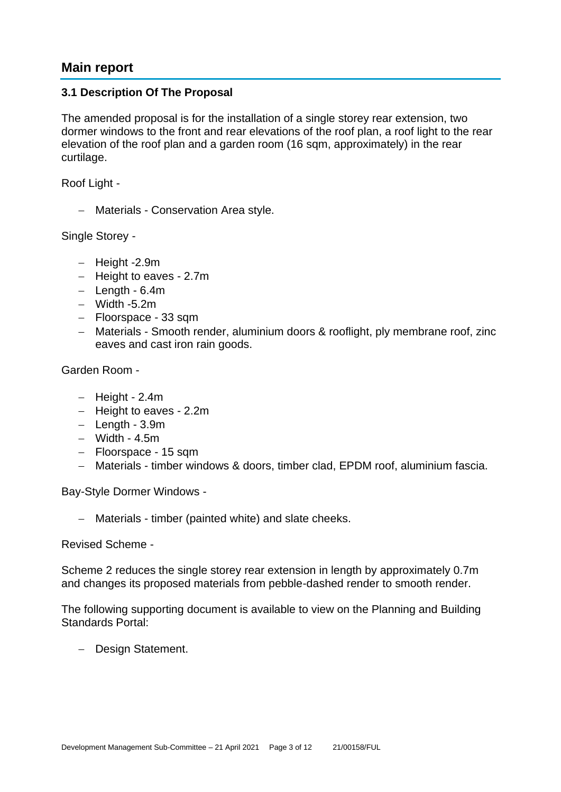# **Main report**

#### **3.1 Description Of The Proposal**

The amended proposal is for the installation of a single storey rear extension, two dormer windows to the front and rear elevations of the roof plan, a roof light to the rear elevation of the roof plan and a garden room (16 sqm, approximately) in the rear curtilage.

Roof Light -

− Materials - Conservation Area style.

Single Storey -

- − Height -2.9m
- − Height to eaves 2.7m
- − Length 6.4m
- − Width -5.2m
- − Floorspace 33 sqm
- − Materials Smooth render, aluminium doors & rooflight, ply membrane roof, zinc eaves and cast iron rain goods.

Garden Room -

- − Height 2.4m
- − Height to eaves 2.2m
- − Length 3.9m
- − Width 4.5m
- − Floorspace 15 sqm
- − Materials timber windows & doors, timber clad, EPDM roof, aluminium fascia.

Bay-Style Dormer Windows -

− Materials - timber (painted white) and slate cheeks.

Revised Scheme -

Scheme 2 reduces the single storey rear extension in length by approximately 0.7m and changes its proposed materials from pebble-dashed render to smooth render.

The following supporting document is available to view on the Planning and Building Standards Portal:

− Design Statement.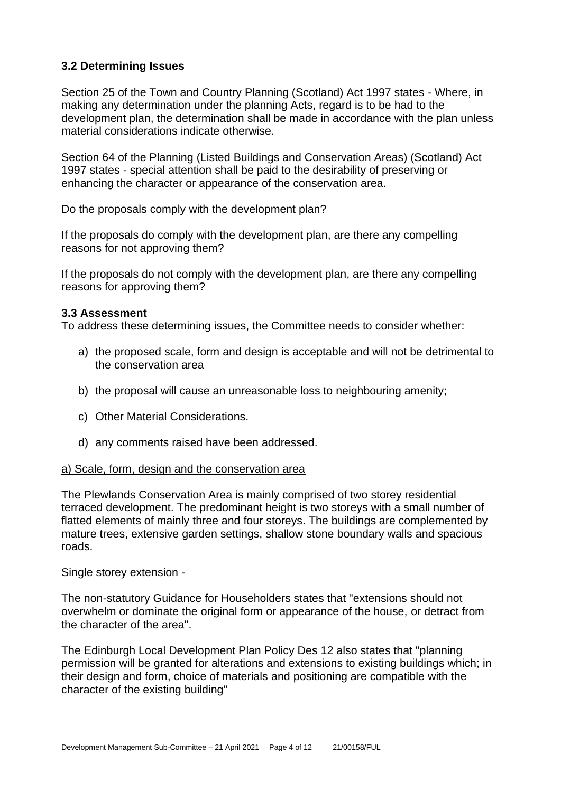#### **3.2 Determining Issues**

Section 25 of the Town and Country Planning (Scotland) Act 1997 states - Where, in making any determination under the planning Acts, regard is to be had to the development plan, the determination shall be made in accordance with the plan unless material considerations indicate otherwise.

Section 64 of the Planning (Listed Buildings and Conservation Areas) (Scotland) Act 1997 states - special attention shall be paid to the desirability of preserving or enhancing the character or appearance of the conservation area.

Do the proposals comply with the development plan?

If the proposals do comply with the development plan, are there any compelling reasons for not approving them?

If the proposals do not comply with the development plan, are there any compelling reasons for approving them?

#### **3.3 Assessment**

To address these determining issues, the Committee needs to consider whether:

- a) the proposed scale, form and design is acceptable and will not be detrimental to the conservation area
- b) the proposal will cause an unreasonable loss to neighbouring amenity;
- c) Other Material Considerations.
- d) any comments raised have been addressed.

#### a) Scale, form, design and the conservation area

The Plewlands Conservation Area is mainly comprised of two storey residential terraced development. The predominant height is two storeys with a small number of flatted elements of mainly three and four storeys. The buildings are complemented by mature trees, extensive garden settings, shallow stone boundary walls and spacious roads.

Single storey extension -

The non-statutory Guidance for Householders states that "extensions should not overwhelm or dominate the original form or appearance of the house, or detract from the character of the area".

The Edinburgh Local Development Plan Policy Des 12 also states that "planning permission will be granted for alterations and extensions to existing buildings which; in their design and form, choice of materials and positioning are compatible with the character of the existing building"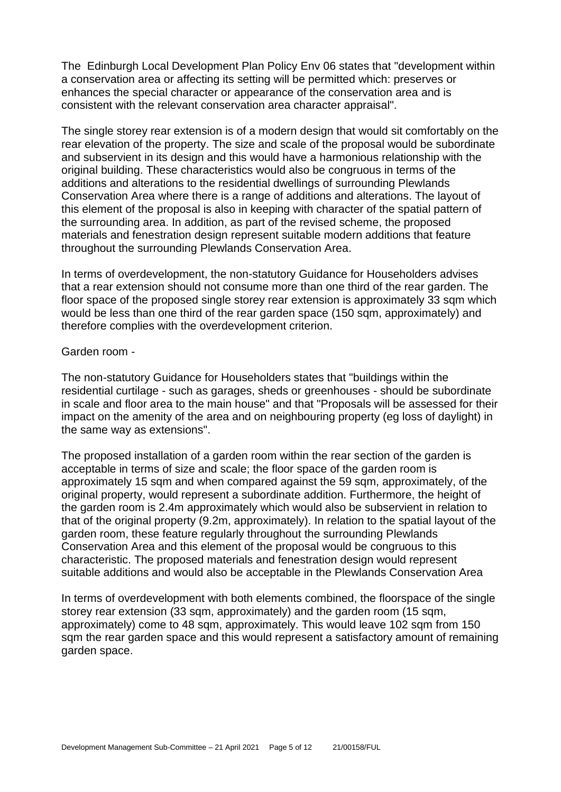The Edinburgh Local Development Plan Policy Env 06 states that "development within a conservation area or affecting its setting will be permitted which: preserves or enhances the special character or appearance of the conservation area and is consistent with the relevant conservation area character appraisal".

The single storey rear extension is of a modern design that would sit comfortably on the rear elevation of the property. The size and scale of the proposal would be subordinate and subservient in its design and this would have a harmonious relationship with the original building. These characteristics would also be congruous in terms of the additions and alterations to the residential dwellings of surrounding Plewlands Conservation Area where there is a range of additions and alterations. The layout of this element of the proposal is also in keeping with character of the spatial pattern of the surrounding area. In addition, as part of the revised scheme, the proposed materials and fenestration design represent suitable modern additions that feature throughout the surrounding Plewlands Conservation Area.

In terms of overdevelopment, the non-statutory Guidance for Householders advises that a rear extension should not consume more than one third of the rear garden. The floor space of the proposed single storey rear extension is approximately 33 sqm which would be less than one third of the rear garden space (150 sqm, approximately) and therefore complies with the overdevelopment criterion.

#### Garden room -

The non-statutory Guidance for Householders states that "buildings within the residential curtilage - such as garages, sheds or greenhouses - should be subordinate in scale and floor area to the main house" and that "Proposals will be assessed for their impact on the amenity of the area and on neighbouring property (eg loss of daylight) in the same way as extensions".

The proposed installation of a garden room within the rear section of the garden is acceptable in terms of size and scale; the floor space of the garden room is approximately 15 sqm and when compared against the 59 sqm, approximately, of the original property, would represent a subordinate addition. Furthermore, the height of the garden room is 2.4m approximately which would also be subservient in relation to that of the original property (9.2m, approximately). In relation to the spatial layout of the garden room, these feature regularly throughout the surrounding Plewlands Conservation Area and this element of the proposal would be congruous to this characteristic. The proposed materials and fenestration design would represent suitable additions and would also be acceptable in the Plewlands Conservation Area

In terms of overdevelopment with both elements combined, the floorspace of the single storey rear extension (33 sqm, approximately) and the garden room (15 sqm, approximately) come to 48 sqm, approximately. This would leave 102 sqm from 150 sqm the rear garden space and this would represent a satisfactory amount of remaining garden space.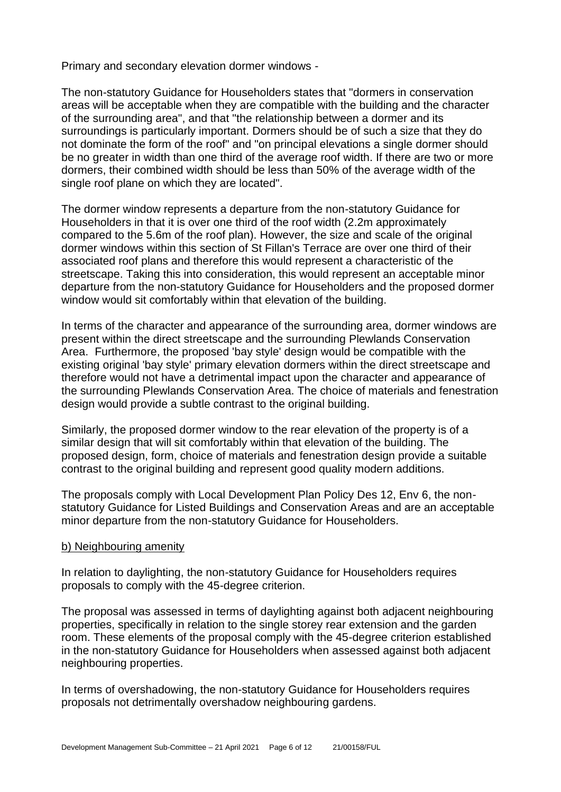Primary and secondary elevation dormer windows -

The non-statutory Guidance for Householders states that "dormers in conservation areas will be acceptable when they are compatible with the building and the character of the surrounding area", and that "the relationship between a dormer and its surroundings is particularly important. Dormers should be of such a size that they do not dominate the form of the roof" and "on principal elevations a single dormer should be no greater in width than one third of the average roof width. If there are two or more dormers, their combined width should be less than 50% of the average width of the single roof plane on which they are located".

The dormer window represents a departure from the non-statutory Guidance for Householders in that it is over one third of the roof width (2.2m approximately compared to the 5.6m of the roof plan). However, the size and scale of the original dormer windows within this section of St Fillan's Terrace are over one third of their associated roof plans and therefore this would represent a characteristic of the streetscape. Taking this into consideration, this would represent an acceptable minor departure from the non-statutory Guidance for Householders and the proposed dormer window would sit comfortably within that elevation of the building.

In terms of the character and appearance of the surrounding area, dormer windows are present within the direct streetscape and the surrounding Plewlands Conservation Area. Furthermore, the proposed 'bay style' design would be compatible with the existing original 'bay style' primary elevation dormers within the direct streetscape and therefore would not have a detrimental impact upon the character and appearance of the surrounding Plewlands Conservation Area. The choice of materials and fenestration design would provide a subtle contrast to the original building.

Similarly, the proposed dormer window to the rear elevation of the property is of a similar design that will sit comfortably within that elevation of the building. The proposed design, form, choice of materials and fenestration design provide a suitable contrast to the original building and represent good quality modern additions.

The proposals comply with Local Development Plan Policy Des 12, Env 6, the nonstatutory Guidance for Listed Buildings and Conservation Areas and are an acceptable minor departure from the non-statutory Guidance for Householders.

#### b) Neighbouring amenity

In relation to daylighting, the non-statutory Guidance for Householders requires proposals to comply with the 45-degree criterion.

The proposal was assessed in terms of daylighting against both adjacent neighbouring properties, specifically in relation to the single storey rear extension and the garden room. These elements of the proposal comply with the 45-degree criterion established in the non-statutory Guidance for Householders when assessed against both adjacent neighbouring properties.

In terms of overshadowing, the non-statutory Guidance for Householders requires proposals not detrimentally overshadow neighbouring gardens.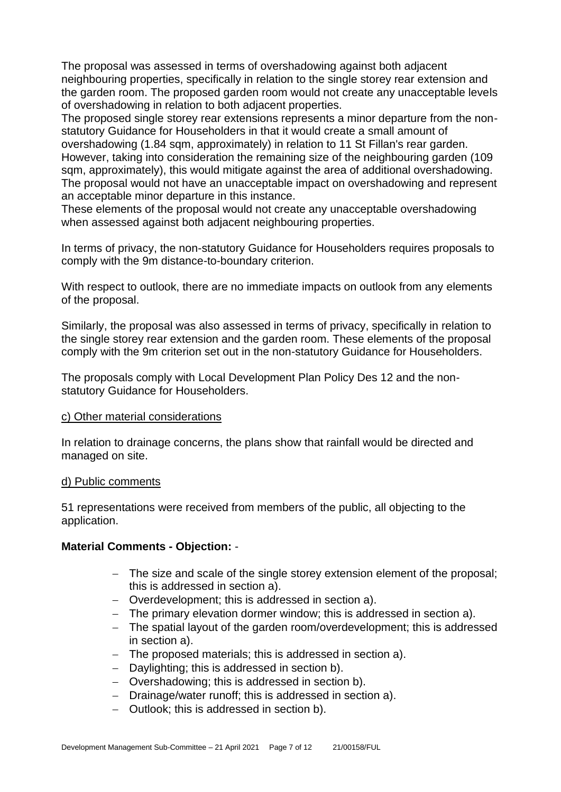The proposal was assessed in terms of overshadowing against both adjacent neighbouring properties, specifically in relation to the single storey rear extension and the garden room. The proposed garden room would not create any unacceptable levels of overshadowing in relation to both adjacent properties.

The proposed single storey rear extensions represents a minor departure from the nonstatutory Guidance for Householders in that it would create a small amount of overshadowing (1.84 sqm, approximately) in relation to 11 St Fillan's rear garden. However, taking into consideration the remaining size of the neighbouring garden (109 sqm, approximately), this would mitigate against the area of additional overshadowing. The proposal would not have an unacceptable impact on overshadowing and represent an acceptable minor departure in this instance.

These elements of the proposal would not create any unacceptable overshadowing when assessed against both adjacent neighbouring properties.

In terms of privacy, the non-statutory Guidance for Householders requires proposals to comply with the 9m distance-to-boundary criterion.

With respect to outlook, there are no immediate impacts on outlook from any elements of the proposal.

Similarly, the proposal was also assessed in terms of privacy, specifically in relation to the single storey rear extension and the garden room. These elements of the proposal comply with the 9m criterion set out in the non-statutory Guidance for Householders.

The proposals comply with Local Development Plan Policy Des 12 and the nonstatutory Guidance for Householders.

#### c) Other material considerations

In relation to drainage concerns, the plans show that rainfall would be directed and managed on site.

#### d) Public comments

51 representations were received from members of the public, all objecting to the application.

#### **Material Comments - Objection:** -

- − The size and scale of the single storey extension element of the proposal; this is addressed in section a).
- − Overdevelopment; this is addressed in section a).
- − The primary elevation dormer window; this is addressed in section a).
- − The spatial layout of the garden room/overdevelopment; this is addressed in section a).
- − The proposed materials; this is addressed in section a).
- − Daylighting; this is addressed in section b).
- − Overshadowing; this is addressed in section b).
- − Drainage/water runoff; this is addressed in section a).
- − Outlook; this is addressed in section b).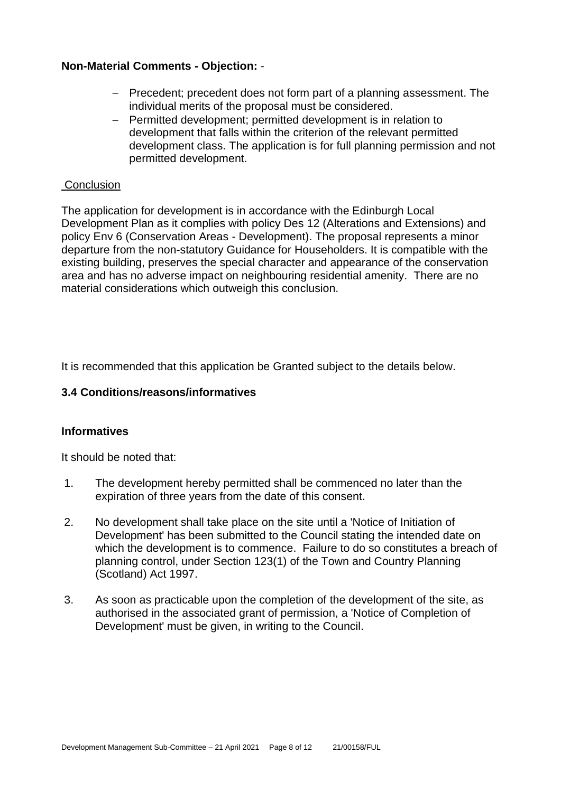#### **Non-Material Comments - Objection:** -

- − Precedent; precedent does not form part of a planning assessment. The individual merits of the proposal must be considered.
- − Permitted development; permitted development is in relation to development that falls within the criterion of the relevant permitted development class. The application is for full planning permission and not permitted development.

#### **Conclusion**

The application for development is in accordance with the Edinburgh Local Development Plan as it complies with policy Des 12 (Alterations and Extensions) and policy Env 6 (Conservation Areas - Development). The proposal represents a minor departure from the non-statutory Guidance for Householders. It is compatible with the existing building, preserves the special character and appearance of the conservation area and has no adverse impact on neighbouring residential amenity. There are no material considerations which outweigh this conclusion.

It is recommended that this application be Granted subject to the details below.

#### **3.4 Conditions/reasons/informatives**

#### **Informatives**

It should be noted that:

- 1. The development hereby permitted shall be commenced no later than the expiration of three years from the date of this consent.
- 2. No development shall take place on the site until a 'Notice of Initiation of Development' has been submitted to the Council stating the intended date on which the development is to commence. Failure to do so constitutes a breach of planning control, under Section 123(1) of the Town and Country Planning (Scotland) Act 1997.
- 3. As soon as practicable upon the completion of the development of the site, as authorised in the associated grant of permission, a 'Notice of Completion of Development' must be given, in writing to the Council.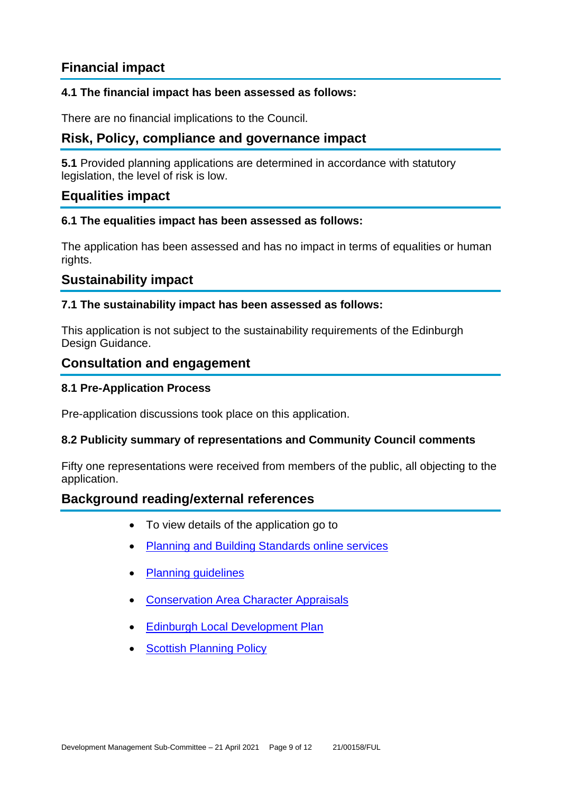# **Financial impact**

#### **4.1 The financial impact has been assessed as follows:**

There are no financial implications to the Council.

# **Risk, Policy, compliance and governance impact**

**5.1** Provided planning applications are determined in accordance with statutory legislation, the level of risk is low.

### **Equalities impact**

#### **6.1 The equalities impact has been assessed as follows:**

The application has been assessed and has no impact in terms of equalities or human rights.

# **Sustainability impact**

#### **7.1 The sustainability impact has been assessed as follows:**

This application is not subject to the sustainability requirements of the Edinburgh Design Guidance.

#### **Consultation and engagement**

#### **8.1 Pre-Application Process**

Pre-application discussions took place on this application.

#### **8.2 Publicity summary of representations and Community Council comments**

Fifty one representations were received from members of the public, all objecting to the application.

#### **Background reading/external references**

- To view details of the application go to
- [Planning and Building Standards online services](https://citydev-portal.edinburgh.gov.uk/idoxpa-web/search.do?action=simple&searchType=Application)
- [Planning guidelines](http://www.edinburgh.gov.uk/planningguidelines)
- [Conservation Area Character Appraisals](http://www.edinburgh.gov.uk/characterappraisals)
- [Edinburgh Local Development Plan](http://www.edinburgh.gov.uk/localdevelopmentplan)
- **[Scottish Planning Policy](http://www.scotland.gov.uk/Topics/Built-Environment/planning/Policy)**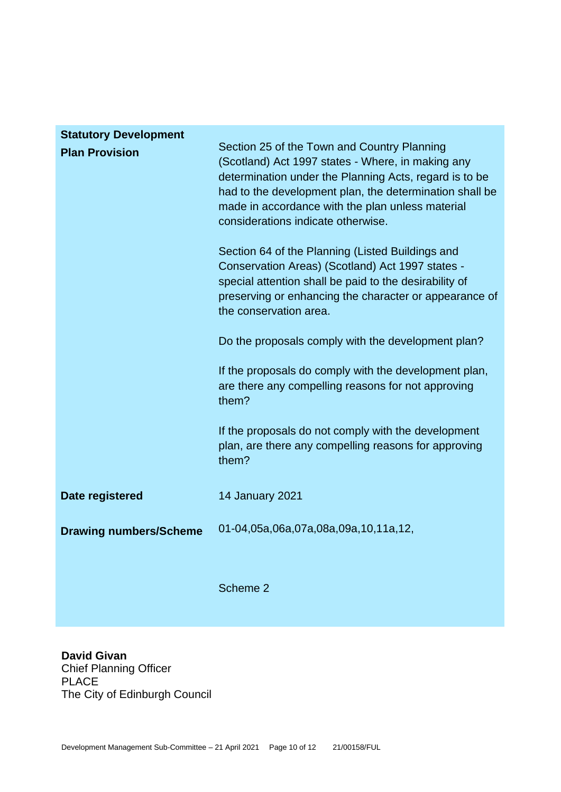| <b>Statutory Development</b>  |                                                                                                                                                                                                                                                                                                                 |
|-------------------------------|-----------------------------------------------------------------------------------------------------------------------------------------------------------------------------------------------------------------------------------------------------------------------------------------------------------------|
| <b>Plan Provision</b>         | Section 25 of the Town and Country Planning<br>(Scotland) Act 1997 states - Where, in making any<br>determination under the Planning Acts, regard is to be<br>had to the development plan, the determination shall be<br>made in accordance with the plan unless material<br>considerations indicate otherwise. |
|                               | Section 64 of the Planning (Listed Buildings and<br>Conservation Areas) (Scotland) Act 1997 states -<br>special attention shall be paid to the desirability of<br>preserving or enhancing the character or appearance of<br>the conservation area.                                                              |
|                               | Do the proposals comply with the development plan?                                                                                                                                                                                                                                                              |
|                               | If the proposals do comply with the development plan,<br>are there any compelling reasons for not approving<br>them?                                                                                                                                                                                            |
|                               | If the proposals do not comply with the development<br>plan, are there any compelling reasons for approving<br>them?                                                                                                                                                                                            |
| Date registered               | 14 January 2021                                                                                                                                                                                                                                                                                                 |
| <b>Drawing numbers/Scheme</b> | 01-04,05a,06a,07a,08a,09a,10,11a,12,                                                                                                                                                                                                                                                                            |
|                               | Scheme 2                                                                                                                                                                                                                                                                                                        |

**David Givan** Chief Planning Officer PLACE The City of Edinburgh Council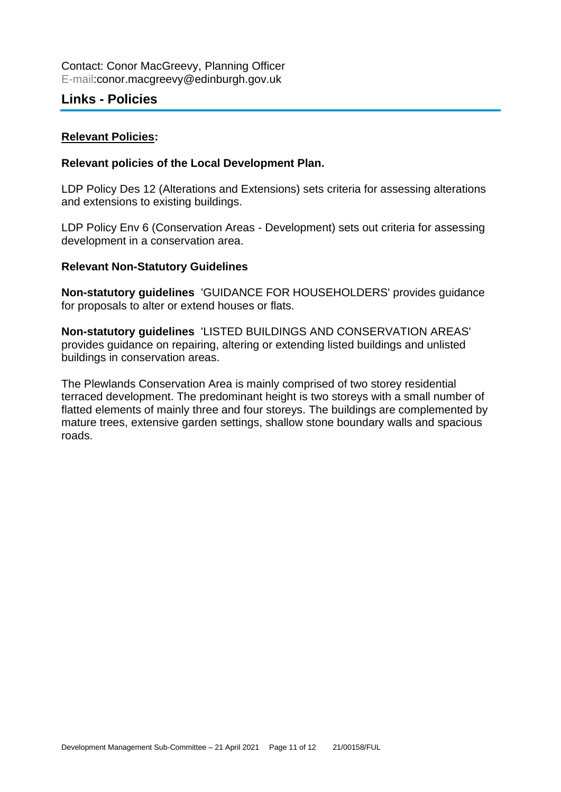# **Links - Policies**

#### **Relevant Policies:**

#### **Relevant policies of the Local Development Plan.**

LDP Policy Des 12 (Alterations and Extensions) sets criteria for assessing alterations and extensions to existing buildings.

LDP Policy Env 6 (Conservation Areas - Development) sets out criteria for assessing development in a conservation area.

#### **Relevant Non-Statutory Guidelines**

**Non-statutory guidelines** 'GUIDANCE FOR HOUSEHOLDERS' provides guidance for proposals to alter or extend houses or flats.

**Non-statutory guidelines** 'LISTED BUILDINGS AND CONSERVATION AREAS' provides guidance on repairing, altering or extending listed buildings and unlisted buildings in conservation areas.

The Plewlands Conservation Area is mainly comprised of two storey residential terraced development. The predominant height is two storeys with a small number of flatted elements of mainly three and four storeys. The buildings are complemented by mature trees, extensive garden settings, shallow stone boundary walls and spacious roads.